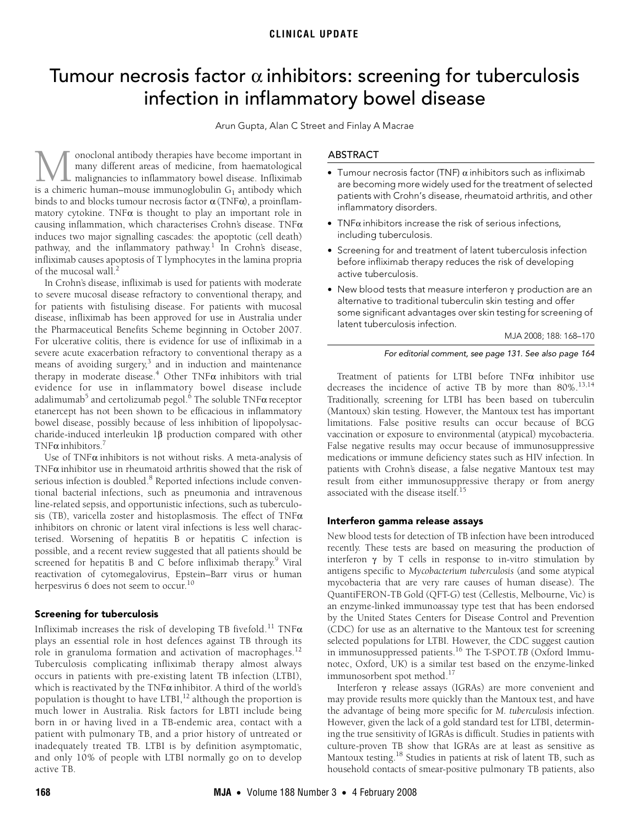# <span id="page-0-0"></span>Tumour necrosis factor  $\alpha$  inhibitors: screening for tuberculosis infection in inflammatory bowel disease

Arun Gupta, Alan C Street and Finlay A Macrae

matices two major signaming cascaties, the apoptotic (cen death)<br>pathway, and the inflammator[y pa](#page-0-0)[thwa](#page-2-18)y.<sup>[1](#page-2-0)</sup> In Crohn's disease,  $\alpha$ yay, and the innaminatory patriw. infliximab causes apoptosis of T lymphocytes in the lamina propria of the mucosal wall.<sup>2</sup> onoclonal antibody therapies have become important in many different areas of medicine, from haematological malignancies to inflammatory bowel disease. Infliximab  $\begin{minipage}{.4\linewidth} \begin{tabular}{|l|l|} \hline noncollonal antibody the  
rapies have become important in many different areas of medicine, from haematological malignancies to inflammatory bowel disease. Infliximab is a chimeric human—mouse immunoglobulin  $G_1$  antibody which$ binds to and blocks tumour necrosis factor  $\alpha$  (TNF $\alpha$ ), a proinflammatory cytokine. TNF $\alpha$  is thought to play an important role in causing inflammation, which characterises Crohn's disease. TNFα induces two major signalling cascades: the apoptotic (cell death)

In Crohn's disease, infliximab is used for patients with moderate to severe mucosal disease refractory to conventional therapy, and for patients with fistulising disease. For patients with mucosal disease, infliximab has been approved for use in Australia under the Pharmaceutical Benefits Scheme beginning in October 2007. For ulcerative colitis, there is evidence for use of infliximab in a severe acute exacerbation refractory to conventional therapy as a means of avoiding surgery,<sup>[3](#page-2-2)</sup> and in induction and maintenance therapy in moderate disease.<sup>[4](#page-2-3)</sup> Other TNF $\alpha$  inhibitors with trial evidence for use in inflammatory bowel disease include adalimumab $^5$  and certolizumab pegol. $^6$  The soluble TNF $\alpha$  receptor etanercept has not been shown to be efficacious in inflammatory bowel disease, possibly because of less inhibition of lipopolysaccharide-induced interleukin 1β production compared with other TNF $\alpha$  inhibitors.<sup>[7](#page-2-6)</sup>

Use of  $TNF\alpha$  inhibitors is not without risks. A meta-analysis of TNFα inhibitor use in rheumatoid arthritis showed that the risk of serious infection is doubled.<sup>[8](#page-2-7)</sup> Reported infections include conventional bacterial infections, such as pneumonia and intravenous line-related sepsis, and opportunistic infections, such as tuberculosis (TB), varicella zoster and histoplasmosis. The effect of TNFα inhibitors on chronic or latent viral infections is less well characterised. Worsening of hepatitis B or hepatitis C infection is possible, and a recent review suggested that all patients should be screened for hepatitis B and C before infliximab therapy.<sup>9</sup> Viral reactivation of cytomegalovirus, Epstein–Barr virus or human herpesvirus 6 does not seem to occur.<sup>[10](#page-2-9)</sup>

## Screening for tuberculosis

Infliximab increases the risk of developing TB fivefold.<sup>[11](#page-2-10)</sup> TNF $\alpha$ plays an essential role in host defences against TB through its role in granuloma formation and activation of macrophages.<sup>[12](#page-2-11)</sup> Tuberculosis complicating infliximab therapy almost always occurs in patients with pre-existing latent TB infection (LTBI), which is reactivated by the TNF $\alpha$  inhibitor. A third of the world's population is thought to have  $LTBI<sub>1</sub><sup>12</sup>$  $LTBI<sub>1</sub><sup>12</sup>$  $LTBI<sub>1</sub><sup>12</sup>$  although the proportion is much lower in Australia. Risk factors for LBTI include being born in or having lived in a TB-endemic area, contact with a patient with pulmonary TB, and a prior history of untreated or inadequately treated TB. LTBI is by definition asymptomatic, and only 10% of people with LTBI normally go on to develop active TB.

## ABSTRACT

- Tumour necrosis factor (TNF)  $\alpha$  inhibitors such as infliximab are becoming more widely used for the treatment of selected patients with Crohn's disease, rheumatoid arthritis, and other inflammatory disorders.
- TNF $\alpha$  inhibitors increase the risk of serious infections, including tuberculosis.
- Screening for and treatment of latent tuberculosis infection before infliximab therapy reduces the risk of developing active tuberculosis.
- New blood tests that measure interferon γ production are an alternative to traditional tuberculin skin testing and offer some significant advantages over skin testing for screening of latent tuberculosis infection.

MJA 2008; 188: 168–170

#### For editorial comment, see page 131. See also page 164

Treatment of patients for LTBI before TNF $\alpha$  inhibitor use decreases the incidence of active TB by more than 80%.[13](#page-2-12)[,14](#page-2-13) Traditionally, screening for LTBI has been based on tuberculin (Mantoux) skin testing. However, the Mantoux test has important limitations. False positive results can occur because of BCG vaccination or exposure to environmental (atypical) mycobacteria. False negative results may occur because of immunosuppressive medications or immune deficiency states such as HIV infection. In patients with Crohn's disease, a false negative Mantoux test may result from either immunosuppressive therapy or from anergy associated with the disease itself.<sup>15</sup>

# Interferon gamma release assays

New blood tests for detection of TB infection have been introduced recently. These tests are based on measuring the production of interferon  $\gamma$  by T cells in response to in-vitro stimulation by antigens specific to *Mycobacterium tuberculosis* (and some atypical mycobacteria that are very rare causes of human disease). The QuantiFERON-TB Gold (QFT-G) test (Cellestis, Melbourne, Vic) is an enzyme-linked immunoassay type test that has been endorsed by the United States Centers for Disease Control and Prevention (CDC) for use as an alternative to the Mantoux test for screening selected populations for LTBI. However, the CDC suggest caution in immunosuppressed patients.[16](#page-2-15) The T-SPOT.*TB* (Oxford Immunotec, Oxford, UK) is a similar test based on the enzyme-linked immunosorbent spot method.<sup>[17](#page-2-16)</sup>

Interferon γ release assays (IGRAs) are more convenient and may provide results more quickly than the Mantoux test, and have the advantage of being more specific for *M. tuberculosis* infection. However, given the lack of a gold standard test for LTBI, determining the true sensitivity of IGRAs is difficult. Studies in patients with culture-proven TB show that IGRAs are at least as sensitive as Mantoux testing[.18](#page-2-17) Studies in patients at risk of latent TB, such as household contacts of smear-positive pulmonary TB patients, also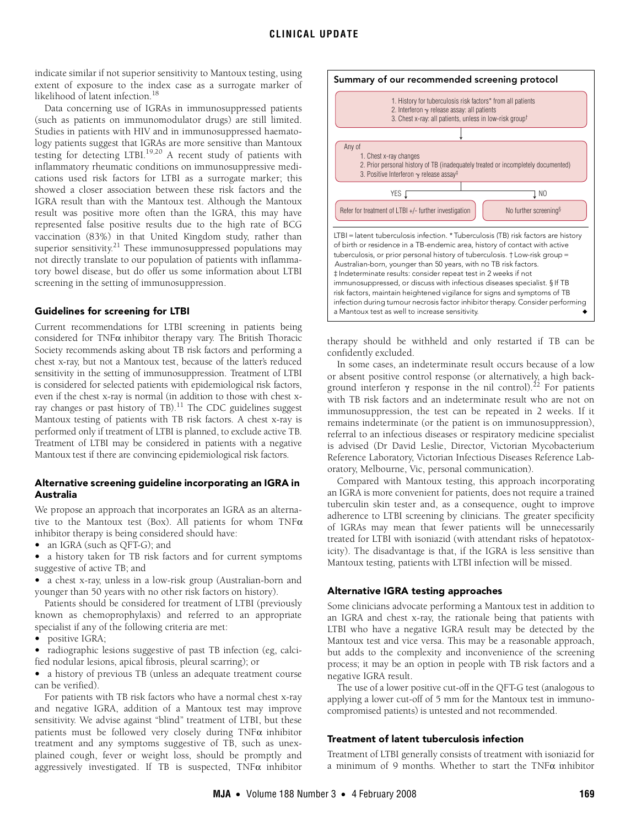indicate similar if not superior sensitivity to Mantoux testing, using extent of exposure to the index case as a surrogate marker of likelihood of latent infection[.18](#page-2-17)

Data concerning use of IGRAs in immunosuppressed patients (such as patients on immunomodulator drugs) are still limited. Studies in patients with HIV and in immunosuppressed haematology patients suggest that IGRAs are more sensitive than Mantoux testing for detecting LTBI.[19](#page-2-19)[,20](#page-2-20) A recent study of patients with inflammatory rheumatic conditions on immunosuppressive medications used risk factors for LTBI as a surrogate marker; this showed a closer association between these risk factors and the IGRA result than with the Mantoux test. Although the Mantoux result was positive more often than the IGRA, this may have represented false positive results due to the high rate of BCG vaccination (83%) in that United Kingdom study, rather than superior sensitivity.<sup>21</sup> These immunosuppressed populations may not directly translate to our population of patients with inflammatory bowel disease, but do offer us some information about LTBI screening in the setting of immunosuppression.

#### Guidelines for screening for LTBI

Current recommendations for LTBI screening in patients being considered for TNF $\alpha$  inhibitor therapy vary. The British Thoracic Society recommends asking about TB risk factors and performing a chest x-ray, but not a Mantoux test, because of the latter's reduced sensitivity in the setting of immunosuppression. Treatment of LTBI is considered for selected patients with epidemiological risk factors, even if the chest x-ray is normal (in addition to those with chest xray changes or past history of TB).<sup>11</sup> The CDC guidelines suggest Mantoux testing of patients with TB risk factors. A chest x-ray is performed only if treatment of LTBI is planned, to exclude active TB. Treatment of LTBI may be considered in patients with a negative Mantoux test if there are convincing epidemiological risk factors.

#### Alternative screening guideline incorporating an IGRA in Australia

We propose an approach that incorporates an IGRA as an alternative to the Mantoux test (Box). All patients for whom  $TNF\alpha$ inhibitor therapy is being considered should have:

• an IGRA (such as QFT-G); and

• a history taken for TB risk factors and for current symptoms suggestive of active TB; and

• a chest x-ray, unless in a low-risk group (Australian-born and younger than 50 years with no other risk factors on history).

Patients should be considered for treatment of LTBI (previously known as chemoprophylaxis) and referred to an appropriate specialist if any of the following criteria are met:

• positive IGRA;

• radiographic lesions suggestive of past TB infection (eg, calcified nodular lesions, apical fibrosis, pleural scarring); or

• a history of previous TB (unless an adequate treatment course can be verified).

For patients with TB risk factors who have a normal chest x-ray and negative IGRA, addition of a Mantoux test may improve sensitivity. We advise against "blind" treatment of LTBI, but these patients must be followed very closely during  $TNF\alpha$  inhibitor treatment and any symptoms suggestive of TB, such as unexplained cough, fever or weight loss, should be promptly and aggressively investigated. If TB is suspected,  $TNF\alpha$  inhibitor



therapy should be withheld and only restarted if TB can be confidently excluded.

In some cases, an indeterminate result occurs because of a low or absent positive control response (or alternatively, a high background interferon γ response in the nil control).<sup>22</sup> For patients with TB risk factors and an indeterminate result who are not on immunosuppression, the test can be repeated in 2 weeks. If it remains indeterminate (or the patient is on immunosuppression), referral to an infectious diseases or respiratory medicine specialist is advised (Dr David Leslie, Director, Victorian Mycobacterium Reference Laboratory, Victorian Infectious Diseases Reference Laboratory, Melbourne, Vic, personal communication).

Compared with Mantoux testing, this approach incorporating an IGRA is more convenient for patients, does not require a trained tuberculin skin tester and, as a consequence, ought to improve adherence to LTBI screening by clinicians. The greater specificity of IGRAs may mean that fewer patients will be unnecessarily treated for LTBI with isoniazid (with attendant risks of hepatotoxicity). The disadvantage is that, if the IGRA is less sensitive than Mantoux testing, patients with LTBI infection will be missed.

#### Alternative IGRA testing approaches

Some clinicians advocate performing a Mantoux test in addition to an IGRA and chest x-ray, the rationale being that patients with LTBI who have a negative IGRA result may be detected by the Mantoux test and vice versa. This may be a reasonable approach, but adds to the complexity and inconvenience of the screening process; it may be an option in people with TB risk factors and a negative IGRA result.

The use of a lower positive cut-off in the QFT-G test (analogous to applying a lower cut-off of 5 mm for the Mantoux test in immunocompromised patients) is untested and not recommended.

## Treatment of latent tuberculosis infection

Treatment of LTBI generally consists of treatment with isoniazid for a minimum of 9 months. Whether to start the TNF $\alpha$  inhibitor